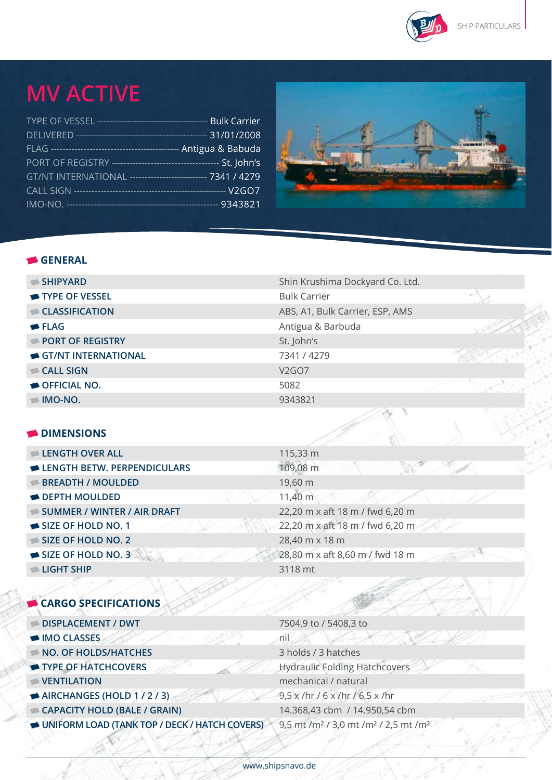

ò

## **MV Active**

| GT/NT INTERNATIONAL ------------------------- 7341 / 4279 |  |
|-----------------------------------------------------------|--|
|                                                           |  |
|                                                           |  |



## **general**

| $\blacktriangleright$ SHIPYARD | Shin Krushima Dockyard Co. Ltd. |  |
|--------------------------------|---------------------------------|--|
| TYPE OF VESSEL                 | <b>Bulk Carrier</b>             |  |
| CLASSIFICATION                 | ABS, A1, Bulk Carrier, ESP, AMS |  |
| $\blacktriangleright$ FLAG     | Antigua & Barbuda               |  |
| PORT OF REGISTRY               | St. John's                      |  |
| GT/NT INTERNATIONAL            | 7341 / 4279                     |  |
| $\blacksquare$ CALL SIGN       | V <sub>2</sub> GO <sub>7</sub>  |  |
| OFFICIAL NO.                   | 5082                            |  |
| IMO-NO.                        | 9343821                         |  |

## **Dimensions**

**cargo specifications**

| <b>LENGTH OVER ALL</b>      |      | 115,33 m         |
|-----------------------------|------|------------------|
| LENGTH BETW. PERPENDICULARS |      | 109,08 m         |
| <b>BREADTH / MOULDED</b>    |      | 19,60 m          |
| <b>DEPTH MOULDED</b>        |      | 11,40 m          |
| SUMMER / WINTER / AIR DRAFT |      | 22,20 m x aft 18 |
| SIZE OF HOLD NO. 1          |      | 22,20 m x aft 18 |
| SIZE OF HOLD NO. 2          |      | 28,40 m x 18 m   |
| SIZE OF HOLD NO. 3          |      | 28,80 m x aft 8, |
| LIGHT SHIP                  |      | 3118 mt          |
|                             | リノゴル |                  |

**Summer / WINTER / Air draft** 22,20 m x aft 18 m / fwd 6,20 m **Size of hold no. 1** 22,20 m x aft 18 m / fwd 6,20 m **Size of hold no. 3** 28,80 m x aft 8,60 m / fwd 18 m

| DISPLACEMENT / DWT                            | 7504,9 to / 5408,3 to                                                    |
|-----------------------------------------------|--------------------------------------------------------------------------|
| MO CLASSES                                    | nil                                                                      |
| NO. OF HOLDS/HATCHES                          | 3 holds / 3 hatches                                                      |
| TYPE OF HATCHCOVERS                           | <b>Hydraulic Folding Hatchcovers</b>                                     |
| VENTILATION                                   | mechanical / natural                                                     |
| AIRCHANGES (HOLD 1/2/3)                       | $9,5 \times /$ hr / 6 x /hr / 6,5 x /hr                                  |
| CAPACITY HOLD (BALE / GRAIN)                  | 14.368,43 cbm / 14.950,54 cbm                                            |
| UNIFORM LOAD (TANK TOP / DECK / HATCH COVERS) | 9,5 mt /m <sup>2</sup> / 3,0 mt /m <sup>2</sup> / 2,5 mt /m <sup>2</sup> |
|                                               |                                                                          |